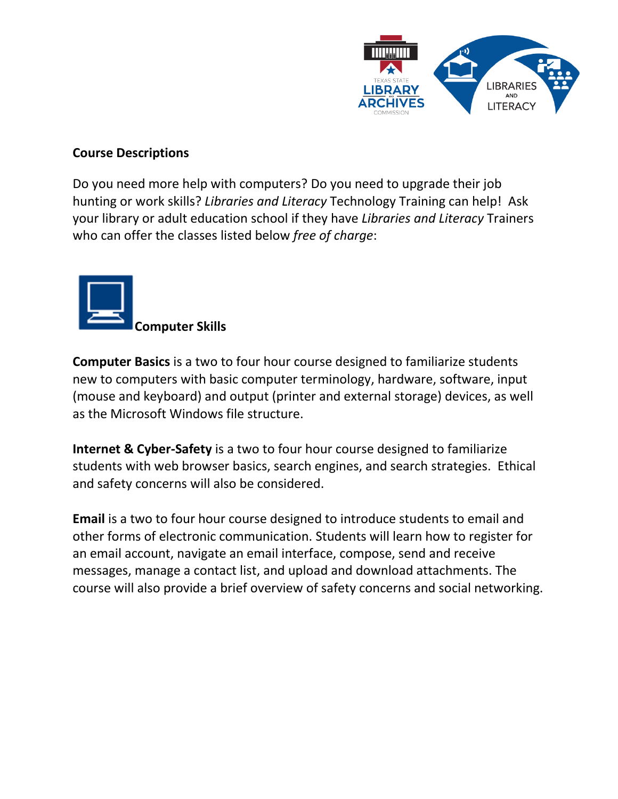

## **Course Descriptions**

Do you need more help with computers? Do you need to upgrade their job hunting or work skills? *Libraries and Literacy* Technology Training can help! Ask your library or adult education school if they have *Libraries and Literacy* Trainers who can offer the classes listed below *free of charge*:



**Computer Basics** is a two to four hour course designed to familiarize students new to computers with basic computer terminology, hardware, software, input (mouse and keyboard) and output (printer and external storage) devices, as well as the Microsoft Windows file structure.

**Internet & Cyber-Safety** is a two to four hour course designed to familiarize students with web browser basics, search engines, and search strategies. Ethical and safety concerns will also be considered.

**Email** is a two to four hour course designed to introduce students to email and other forms of electronic communication. Students will learn how to register for an email account, navigate an email interface, compose, send and receive messages, manage a contact list, and upload and download attachments. The course will also provide a brief overview of safety concerns and social networking.